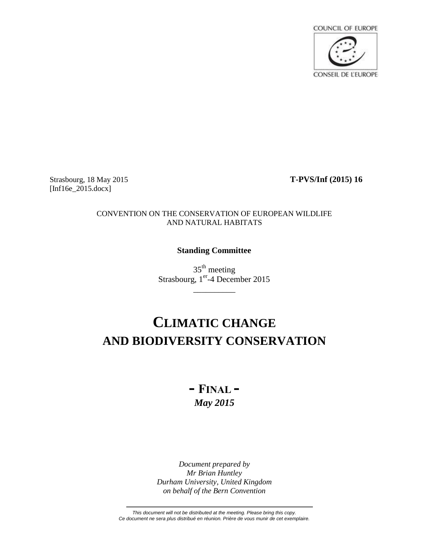

Strasbourg, 18 May 2015 **T-PVS/Inf (2015) 16** [Inf16e\_2015.docx]

### CONVENTION ON THE CONSERVATION OF EUROPEAN WILDLIFE AND NATURAL HABITATS

# **Standing Committee**

35th meeting Strasbourg, 1<sup>er</sup>-4 December 2015

\_\_\_\_\_\_\_\_\_\_

# **CLIMATIC CHANGE AND BIODIVERSITY CONSERVATION**

# **- FINAL -** *May 2015*

*Document prepared by Mr Brian Huntley Durham University, United Kingdom on behalf of the Bern Convention*

*This document will not be distributed at the meeting. Please bring this copy. Ce document ne sera plus distribué en réunion. Prière de vous munir de cet exemplaire.*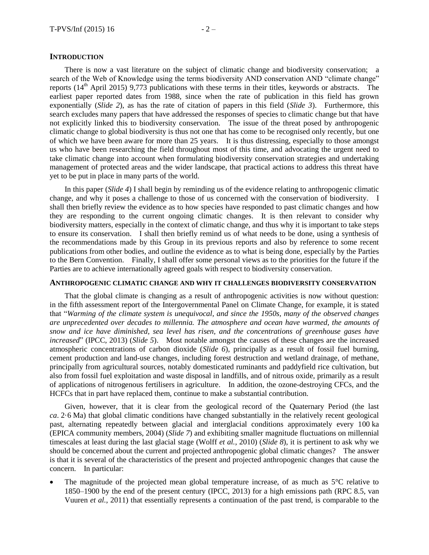#### **INTRODUCTION**

There is now a vast literature on the subject of climatic change and biodiversity conservation; a search of the Web of Knowledge using the terms biodiversity AND conservation AND "climate change" reports  $(14<sup>th</sup>$  April 2015) 9,773 publications with these terms in their titles, keywords or abstracts. The earliest paper reported dates from 1988, since when the rate of publication in this field has grown exponentially (*Slide 2*), as has the rate of citation of papers in this field (*Slide 3*). Furthermore, this search excludes many papers that have addressed the responses of species to climatic change but that have not explicitly linked this to biodiversity conservation. The issue of the threat posed by anthropogenic climatic change to global biodiversity is thus not one that has come to be recognised only recently, but one of which we have been aware for more than 25 years. It is thus distressing, especially to those amongst us who have been researching the field throughout most of this time, and advocating the urgent need to take climatic change into account when formulating biodiversity conservation strategies and undertaking management of protected areas and the wider landscape, that practical actions to address this threat have yet to be put in place in many parts of the world.

In this paper (*Slide 4*) I shall begin by reminding us of the evidence relating to anthropogenic climatic change, and why it poses a challenge to those of us concerned with the conservation of biodiversity. I shall then briefly review the evidence as to how species have responded to past climatic changes and how they are responding to the current ongoing climatic changes. It is then relevant to consider why biodiversity matters, especially in the context of climatic change, and thus why it is important to take steps to ensure its conservation. I shall then briefly remind us of what needs to be done, using a synthesis of the recommendations made by this Group in its previous reports and also by reference to some recent publications from other bodies, and outline the evidence as to what is being done, especially by the Parties to the Bern Convention. Finally, I shall offer some personal views as to the priorities for the future if the Parties are to achieve internationally agreed goals with respect to biodiversity conservation.

#### **ANTHROPOGENIC CLIMATIC CHANGE AND WHY IT CHALLENGES BIODIVERSITY CONSERVATION**

That the global climate is changing as a result of anthropogenic activities is now without question: in the fifth assessment report of the Intergovernmental Panel on Climate Change, for example, it is stated that "*Warming of the climate system is unequivocal, and since the 1950s, many of the observed changes are unprecedented over decades to millennia. The atmosphere and ocean have warmed, the amounts of snow and ice have diminished, sea level has risen, and the concentrations of greenhouse gases have increased*" [\(IPCC, 2013\)](#page-14-0) (*Slide 5*). Most notable amongst the causes of these changes are the increased atmospheric concentrations of carbon dioxide (*Slide 6*), principally as a result of fossil fuel burning, cement production and land-use changes, including forest destruction and wetland drainage, of methane, principally from agricultural sources, notably domesticated ruminants and paddyfield rice cultivation, but also from fossil fuel exploitation and waste disposal in landfills, and of nitrous oxide, primarily as a result of applications of nitrogenous fertilisers in agriculture. In addition, the ozone-destroying CFCs, and the HCFCs that in part have replaced them, continue to make a substantial contribution.

Given, however, that it is clear from the geological record of the Quaternary Period (the last *ca*. 2·6 Ma) that global climatic conditions have changed substantially in the relatively recent geological past, alternating repeatedly between glacial and interglacial conditions approximately every 100 ka [\(EPICA community members, 2004\)](#page-13-0) (*Slide 7*) and exhibiting smaller magnitude fluctuations on millennial timescales at least during the last glacial stage (Wolff *et al.*[, 2010\)](#page-16-0) (*Slide 8*), it is pertinent to ask why we should be concerned about the current and projected anthropogenic global climatic changes? The answer is that it is several of the characteristics of the present and projected anthropogenic changes that cause the concern. In particular:

 The magnitude of the projected mean global temperature increase, of as much as 5°C relative to 1850–1900 by the end of the present century [\(IPCC, 2013\)](#page-14-0) for a high emissions path [\(RPC 8.5, van](#page-16-1)  [Vuuren](#page-16-1) *et al.*, 2011) that essentially represents a continuation of the past trend, is comparable to the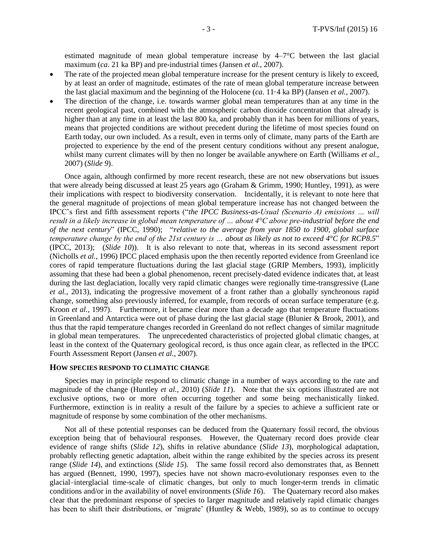estimated magnitude of mean global temperature increase by 4–7°C between the last glacial maximum (*ca*. 21 ka BP) and pre-industrial times [\(Jansen](#page-14-1) *et al.*, 2007).

- The rate of the projected mean global temperature increase for the present century is likely to exceed, by at least an order of magnitude, estimates of the rate of mean global temperature increase between the last glacial maximum and the beginning of the Holocene (*ca*. 11·4 ka BP) [\(Jansen](#page-14-1) *et al.*, 2007).
- The direction of the change, i.e. towards warmer global mean temperatures than at any time in the recent geological past, combined with the atmospheric carbon dioxide concentration that already is higher than at any time in at least the last 800 ka, and probably than it has been for millions of years, means that projected conditions are without precedent during the lifetime of most species found on Earth today, our own included. As a result, even in terms only of climate, many parts of the Earth are projected to experience by the end of the present century conditions without any present analogue, whilst many current climates will by then no longer be available anywhere on Earth [\(Williams](#page-16-2) *et al.*, [2007\)](#page-16-2) (*Slide 9*).

Once again, although confirmed by more recent research, these are not new observations but issues that were already being discussed at least 25 years ago [\(Graham & Grimm, 1990;](#page-13-1) [Huntley, 1991\)](#page-14-2), as were their implications with respect to biodiversity conservation. Incidentally, it is relevant to note here that the general magnitude of projections of mean global temperature increase has not changed between the IPCC's first and fifth assessment reports ("*the IPCC Business-as-Usual (Scenario A) emissions … will result in a likely increase in global mean temperature of … about 4°C above pre-industrial before the end of the next century*" [\(IPCC, 1990\)](#page-14-3); "*relative to the average from year 1850 to 1900, global surface temperature change by the end of the 21st century is … about as likely as not to exceed 4°C for RCP8.5*" [\(IPCC, 2013\)](#page-14-0); (*Slide 10*)). It is also relevant to note that, whereas in its second assessment report [\(Nicholls](#page-15-0) *et al.*, 1996) IPCC placed emphasis upon the then recently reported evidence from Greenland ice cores of rapid temperature fluctuations during the last glacial stage [\(GRIP Members, 1993\)](#page-13-2), implicitly assuming that these had been a global phenomenon, recent precisely-dated evidence indicates that, at least during the last deglaciation, locally very rapid climatic changes were regionally time-transgressive [\(Lane](#page-15-1) *et al.*[, 2013\)](#page-15-1), indicating the progressive movement of a front rather than a globally synchronous rapid change, something also previously inferred, for example, from records of ocean surface temperature [\(e.g.](#page-15-2)  Kroon *et al.*[, 1997\)](#page-15-2). Furthermore, it became clear more than a decade ago that temperature fluctuations in Greenland and Antarctica were out of phase during the last glacial stage [\(Blunier & Brook, 2001\)](#page-13-3), and thus that the rapid temperature changes recorded in Greenland do not reflect changes of similar magnitude in global mean temperatures. The unprecedented characteristics of projected global climatic changes, at least in the context of the Quaternary geological record, is thus once again clear, as reflected in the IPCC Fourth Assessment Report [\(Jansen](#page-14-1) *et al.*, 2007).

#### **HOW SPECIES RESPOND TO CLIMATIC CHANGE**

Species may in principle respond to climatic change in a number of ways according to the rate and magnitude of the change [\(Huntley](#page-14-4) *et al.*, 2010) (*Slide 11*). Note that the six options illustrated are not exclusive options, two or more often occurring together and some being mechanistically linked. Furthermore, extinction is in reality a result of the failure by a species to achieve a sufficient rate or magnitude of response by some combination of the other mechanisms.

Not all of these potential responses can be deduced from the Quaternary fossil record, the obvious exception being that of behavioural responses. However, the Quaternary record does provide clear evidence of range shifts (*Slide 12*), shifts in relative abundance (*Slide 13*), morphological adaptation, probably reflecting genetic adaptation, albeit within the range exhibited by the species across its present range (*Slide 14*), and extinctions (*Slide 15*). The same fossil record also demonstrates that, as Bennett has argued [\(Bennett, 1990,](#page-13-4) [1997\)](#page-13-5), species have not shown macro-evolutionary responses even to the glacial–interglacial time-scale of climatic changes, but only to much longer-term trends in climatic conditions and/or in the availability of novel environments (*Slide 16*). The Quaternary record also makes clear that the predominant response of species to larger magnitude and relatively rapid climatic changes has been to shift their distributions, or 'migrate' [\(Huntley & Webb, 1989\)](#page-14-5), so as to continue to occupy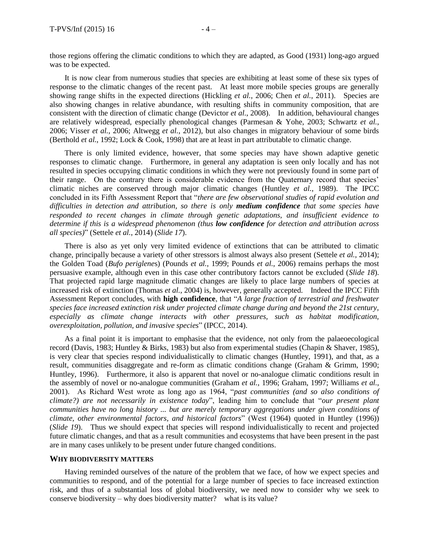those regions offering the climatic conditions to which they are adapted, as Good [\(1931\)](#page-13-6) long-ago argued was to be expected.

It is now clear from numerous studies that species are exhibiting at least some of these six types of response to the climatic changes of the recent past. At least more mobile species groups are generally showing range shifts in the expected directions [\(Hickling](#page-14-6) *et al.*, 2006; Chen *et al.*[, 2011\)](#page-13-7). Species are also showing changes in relative abundance, with resulting shifts in community composition, that are consistent with the direction of climatic change [\(Devictor](#page-13-8) *et al.*, 2008). In addition, behavioural changes are relatively widespread, especially phenological changes (Parmesan [& Yohe, 2003;](#page-15-3) [Schwartz](#page-15-4) *et al.*, [2006;](#page-15-4) [Visser](#page-16-3) *et al.*, 2006; [Altwegg](#page-13-9) *et al.*, 2012), but also changes in migratory behaviour of some birds [\(Berthold](#page-13-10) *et al.*, 1992; [Lock & Cook, 1998\)](#page-15-5) that are at least in part attributable to climatic change.

There is only limited evidence, however, that some species may have shown adaptive genetic responses to climatic change. Furthermore, in general any adaptation is seen only locally and has not resulted in species occupying climatic conditions in which they were not previously found in some part of their range. On the contrary there is considerable evidence from the Quaternary record that species' climatic niches are conserved through major climatic changes [\(Huntley](#page-14-7) *et al.*, 1989). The IPCC concluded in its Fifth Assessment Report that "*there are few observational studies of rapid evolution and difficulties in detection and attribution, so there is only medium confidence that some species have responded to recent changes in climate through genetic adaptations, and insufficient evidence to determine if this is a widespread phenomenon (thus low confidence for detection and attribution across all species)*" [\(Settele](#page-16-4) *et al.*, 2014) (*Slide 17*).

There is also as yet only very limited evidence of extinctions that can be attributed to climatic change, principally because a variety of other stressors is almost always also present [\(Settele](#page-16-4) *et al.*, 2014); the Golden Toad (*Bufo periglene*s) [\(Pounds](#page-15-6) *et al.*, 1999; [Pounds](#page-15-7) *et al.*, 2006) remains perhaps the most persuasive example, although even in this case other contributory factors cannot be excluded (*Slide 18*). That projected rapid large magnitude climatic changes are likely to place large numbers of species at increased risk of extinction [\(Thomas](#page-16-5) *et al.*, 2004) is, however, generally accepted. Indeed the IPCC Fifth Assessment Report concludes, with **high confidence**, that "*A large fraction of terrestrial and freshwater species face increased extinction risk under projected climate change during and beyond the 21st century, especially as climate change interacts with other pressures, such as habitat modification, overexploitation, pollution, and invasive species*" [\(IPCC, 2014\)](#page-14-8).

As a final point it is important to emphasise that the evidence, not only from the palaeoecological record [\(Davis, 1983;](#page-13-11) [Huntley & Birks, 1983\)](#page-14-9) but also from experimental studies [\(Chapin & Shaver, 1985\)](#page-13-12), is very clear that species respond individualistically to climatic changes [\(Huntley, 1991\)](#page-14-2), and that, as a result, communities disaggregate and re-form as climatic conditions change [\(Graham & Grimm, 1990;](#page-13-1) [Huntley, 1996\)](#page-14-10). Furthermore, it also is apparent that novel or no-analogue climatic conditions result in the assembly of novel or no-analogue communities [\(Graham](#page-13-13) *et al.*, 1996; [Graham, 1997;](#page-13-14) [Williams](#page-16-6) *et al.*, [2001\)](#page-16-6). As Richard West wrote as long ago as 1964, "*past communities (and so also conditions of climate?) are not necessarily in existence today*", leading him to conclude that "*our present plant communities have no long history ... but are merely temporary aggregations under given conditions of climate, other environmental factors, and historical factors*" (West [\(1964\)](#page-16-7) quoted in Huntley [\(1996\)](#page-14-10)) (*Slide 19*). Thus we should expect that species will respond individualistically to recent and projected future climatic changes, and that as a result communities and ecosystems that have been present in the past are in many cases unlikely to be present under future changed conditions.

#### **WHY BIODIVERSITY MATTERS**

Having reminded ourselves of the nature of the problem that we face, of how we expect species and communities to respond, and of the potential for a large number of species to face increased extinction risk, and thus of a substantial loss of global biodiversity, we need now to consider why we seek to conserve biodiversity – why does biodiversity matter? what is its value?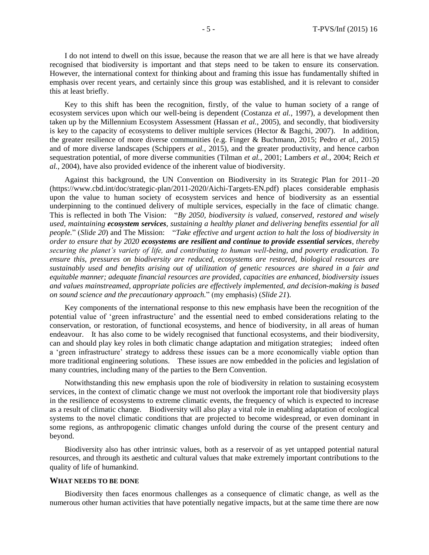I do not intend to dwell on this issue, because the reason that we are all here is that we have already recognised that biodiversity is important and that steps need to be taken to ensure its conservation. However, the international context for thinking about and framing this issue has fundamentally shifted in emphasis over recent years, and certainly since this group was established, and it is relevant to consider this at least briefly.

Key to this shift has been the recognition, firstly, of the value to human society of a range of ecosystem services upon which our well-being is dependent [\(Costanza](#page-13-15) *et al.*, 1997), a development then taken up by the Millennium Ecosystem Assessment [\(Hassan](#page-14-11) *et al.*, 2005), and secondly, that biodiversity is key to the capacity of ecosystems to deliver multiple services [\(Hector & Bagchi, 2007\)](#page-14-12). In addition, the greater resilience of more diverse communities (e.g. [Finger & Buchmann, 2015;](#page-13-16) Pedro *et al.*[, 2015\)](#page-15-8) and of more diverse landscapes [\(Schippers](#page-15-9) *et al.*, 2015), and the greater productivity, and hence carbon sequestration potential, of more diverse communities [\(Tilman](#page-16-8) *et al.*, 2001; [Lambers](#page-15-10) *et al.*, 2004; [Reich](#page-15-11) *et al.*[, 2004\)](#page-15-11), have also provided evidence of the inherent value of biodiversity.

Against this background, the UN Convention on Biodiversity in its Strategic Plan for 2011–20 (https://www.cbd.int/doc/strategic-plan/2011-2020/Aichi-Targets-EN.pdf) places considerable emphasis upon the value to human society of ecosystem services and hence of biodiversity as an essential underpinning to the continued delivery of multiple services, especially in the face of climatic change. This is reflected in both The Vision: "*By 2050, biodiversity is valued, conserved, restored and wisely used, maintaining ecosystem services, sustaining a healthy planet and delivering benefits essential for all people.*" (*Slide 20*) and The Mission: "*Take effective and urgent action to halt the loss of biodiversity in order to ensure that by 2020 ecosystems are resilient and continue to provide essential services, thereby securing the planet's variety of life, and contributing to human well-being, and poverty eradication. To ensure this, pressures on biodiversity are reduced, ecosystems are restored, biological resources are sustainably used and benefits arising out of utilization of genetic resources are shared in a fair and equitable manner; adequate financial resources are provided, capacities are enhanced, biodiversity issues and values mainstreamed, appropriate policies are effectively implemented, and decision-making is based on sound science and the precautionary approach.*" (my emphasis) (*Slide 21*).

Key components of the international response to this new emphasis have been the recognition of the potential value of 'green infrastructure' and the essential need to embed considerations relating to the conservation, or restoration, of functional ecosystems, and hence of biodiversity, in all areas of human endeavour. It has also come to be widely recognised that functional ecosystems, and their biodiversity, can and should play key roles in both climatic change adaptation and mitigation strategies; indeed often a 'green infrastructure' strategy to address these issues can be a more economically viable option than more traditional engineering solutions. These issues are now embedded in the policies and legislation of many countries, including many of the parties to the Bern Convention.

Notwithstanding this new emphasis upon the role of biodiversity in relation to sustaining ecosystem services, in the context of climatic change we must not overlook the important role that biodiversity plays in the resilience of ecosystems to extreme climatic events, the frequency of which is expected to increase as a result of climatic change. Biodiversity will also play a vital role in enabling adaptation of ecological systems to the novel climatic conditions that are projected to become widespread, or even dominant in some regions, as anthropogenic climatic changes unfold during the course of the present century and beyond.

Biodiversity also has other intrinsic values, both as a reservoir of as yet untapped potential natural resources, and through its aesthetic and cultural values that make extremely important contributions to the quality of life of humankind.

#### **WHAT NEEDS TO BE DONE**

Biodiversity then faces enormous challenges as a consequence of climatic change, as well as the numerous other human activities that have potentially negative impacts, but at the same time there are now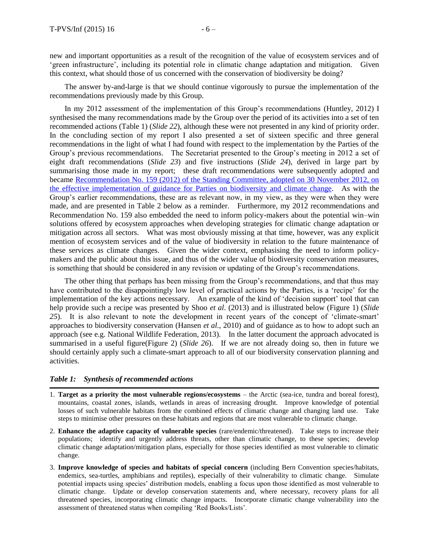new and important opportunities as a result of the recognition of the value of ecosystem services and of 'green infrastructure', including its potential role in climatic change adaptation and mitigation. Given this context, what should those of us concerned with the conservation of biodiversity be doing?

The answer by-and-large is that we should continue vigorously to pursue the implementation of the recommendations previously made by this Group.

In my 2012 assessment of the implementation of this Group's recommendations [\(Huntley, 2012\)](#page-14-13) I synthesised the many recommendations made by the Group over the period of its activities into a set of ten recommended actions (Table 1) (*Slide 22*), although these were not presented in any kind of priority order. In the concluding section of my report I also presented a set of sixteen specific and three general recommendations in the light of what I had found with respect to the implementation by the Parties of the Group's previous recommendations. The Secretariat presented to the Group's meeting in 2012 a set of eight draft recommendations (*Slide 23*) and five instructions (*Slide 24*), derived in large part by summarising those made in my report; these draft recommendations were subsequently adopted and became [Recommendation No. 159 \(2012\) of the Standing Committee, adopted on 30 November 2012, on](https://wcd.coe.int/ViewDoc.jsp?id=2010677&Site=&BackColorInternet=B9BDEE&BackColorIntranet=FFCD4F&BackColorLogged=FFC679)  [the effective implementation of guidance for Parties on biodiversity and climate change.](https://wcd.coe.int/ViewDoc.jsp?id=2010677&Site=&BackColorInternet=B9BDEE&BackColorIntranet=FFCD4F&BackColorLogged=FFC679) As with the Group's earlier recommendations, these are as relevant now, in my view, as they were when they were made, and are presented in Table 2 below as a reminder. Furthermore, my 2012 recommendations and Recommendation No. 159 also embedded the need to inform policy-makers about the potential win–win solutions offered by ecosystem approaches when developing strategies for climatic change adaptation or mitigation across all sectors. What was most obviously missing at that time, however, was any explicit mention of ecosystem services and of the value of biodiversity in relation to the future maintenance of these services as climate changes. Given the wider context, emphasising the need to inform policymakers and the public about this issue, and thus of the wider value of biodiversity conservation measures, is something that should be considered in any revision or updating of the Group's recommendations.

The other thing that perhaps has been missing from the Group's recommendations, and that thus may have contributed to the disappointingly low level of practical actions by the Parties, is a 'recipe' for the implementation of the key actions necessary. An example of the kind of 'decision support' tool that can help provide such a recipe was presented by Shoo *et al*. [\(2013\)](#page-16-9) and is illustrated below (Figure 1) (*Slide 25*). It is also relevant to note the development in recent years of the concept of 'climate-smart' approaches to biodiversity conservation [\(Hansen](#page-13-17) *et al.*, 2010) and of guidance as to how to adopt such an approach [\(see e.g. National Wildlife Federation, 2013\)](#page-15-12). In the latter document the approach advocated is summarised in a useful figure(Figure 2) (*Slide 26*). If we are not already doing so, then in future we should certainly apply such a climate-smart approach to all of our biodiversity conservation planning and activities.

#### *Table 1: Synthesis of recommended actions*

- 1. **Target as a priority the most vulnerable regions/ecosystems** the Arctic (sea-ice, tundra and boreal forest), mountains, coastal zones, islands, wetlands in areas of increasing drought. Improve knowledge of potential losses of such vulnerable habitats from the combined effects of climatic change and changing land use. Take steps to minimise other pressures on these habitats and regions that are most vulnerable to climatic change.
- 2. **Enhance the adaptive capacity of vulnerable species** (rare/endemic/threatened). Take steps to increase their populations; identify and urgently address threats, other than climatic change, to these species; develop climatic change adaptation/mitigation plans, especially for those species identified as most vulnerable to climatic change.
- 3. **Improve knowledge of species and habitats of special concern** (including Bern Convention species/habitats, endemics, sea-turtles, amphibians and reptiles), especially of their vulnerability to climatic change. Simulate potential impacts using species' distribution models, enabling a focus upon those identified as most vulnerable to climatic change. Update or develop conservation statements and, where necessary, recovery plans for all threatened species, incorporating climatic change impacts. Incorporate climatic change vulnerability into the assessment of threatened status when compiling 'Red Books/Lists'.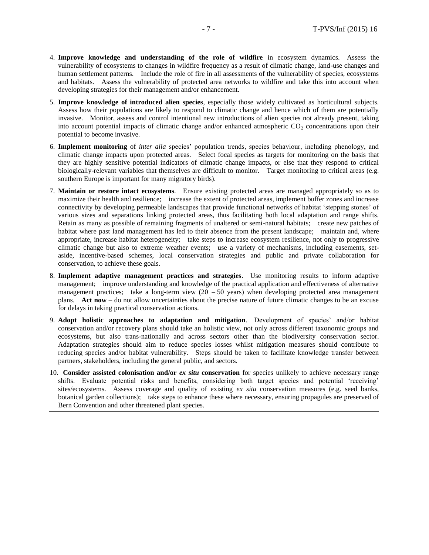- 4. **Improve knowledge and understanding of the role of wildfire** in ecosystem dynamics. Assess the vulnerability of ecosystems to changes in wildfire frequency as a result of climatic change, land-use changes and human settlement patterns. Include the role of fire in all assessments of the vulnerability of species, ecosystems and habitats. Assess the vulnerability of protected area networks to wildfire and take this into account when developing strategies for their management and/or enhancement.
- 5. **Improve knowledge of introduced alien species**, especially those widely cultivated as horticultural subjects. Assess how their populations are likely to respond to climatic change and hence which of them are potentially invasive. Monitor, assess and control intentional new introductions of alien species not already present, taking into account potential impacts of climatic change and/or enhanced atmospheric  $CO<sub>2</sub>$  concentrations upon their potential to become invasive.
- 6. **Implement monitoring** of *inter alia* species' population trends, species behaviour, including phenology, and climatic change impacts upon protected areas. Select focal species as targets for monitoring on the basis that they are highly sensitive potential indicators of climatic change impacts, or else that they respond to critical biologically-relevant variables that themselves are difficult to monitor. Target monitoring to critical areas (e.g. southern Europe is important for many migratory birds).
- 7. **Maintain or restore intact ecosystems**. Ensure existing protected areas are managed appropriately so as to maximize their health and resilience; increase the extent of protected areas, implement buffer zones and increase connectivity by developing permeable landscapes that provide functional networks of habitat 'stepping stones' of various sizes and separations linking protected areas, thus facilitating both local adaptation and range shifts. Retain as many as possible of remaining fragments of unaltered or semi-natural habitats; create new patches of habitat where past land management has led to their absence from the present landscape; maintain and, where appropriate, increase habitat heterogeneity; take steps to increase ecosystem resilience, not only to progressive climatic change but also to extreme weather events; use a variety of mechanisms, including easements, setaside, incentive-based schemes, local conservation strategies and public and private collaboration for conservation, to achieve these goals.
- 8. **Implement adaptive management practices and strategies**. Use monitoring results to inform adaptive management; improve understanding and knowledge of the practical application and effectiveness of alternative management practices; take a long-term view  $(20 - 50 \text{ years})$  when developing protected area management plans. **Act now** – do not allow uncertainties about the precise nature of future climatic changes to be an excuse for delays in taking practical conservation actions.
- 9. **Adopt holistic approaches to adaptation and mitigation**. Development of species' and/or habitat conservation and/or recovery plans should take an holistic view, not only across different taxonomic groups and ecosystems, but also trans-nationally and across sectors other than the biodiversity conservation sector. Adaptation strategies should aim to reduce species losses whilst mitigation measures should contribute to reducing species and/or habitat vulnerability. Steps should be taken to facilitate knowledge transfer between partners, stakeholders, including the general public, and sectors.
- 10. **Consider assisted colonisation and/or** *ex situ* **conservation** for species unlikely to achieve necessary range shifts. Evaluate potential risks and benefits, considering both target species and potential 'receiving' sites/ecosystems. Assess coverage and quality of existing *ex situ* conservation measures (e.g. seed banks, botanical garden collections); take steps to enhance these where necessary, ensuring propagules are preserved of Bern Convention and other threatened plant species.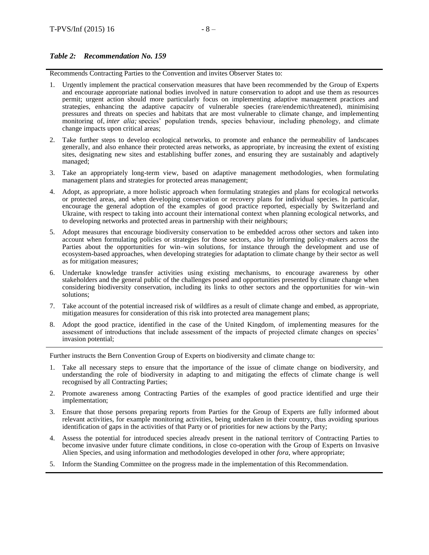## *Table 2: Recommendation No. 159*

Recommends Contracting Parties to the Convention and invites Observer States to:

- 1. Urgently implement the practical conservation measures that have been recommended by the Group of Experts and encourage appropriate national bodies involved in nature conservation to adopt and use them as resources permit; urgent action should more particularly focus on implementing adaptive management practices and strategies, enhancing the adaptive capacity of vulnerable species (rare/endemic/threatened), minimising pressures and threats on species and habitats that are most vulnerable to climate change, and implementing monitoring of, *inter alia*; species' population trends, species behaviour, including phenology, and climate change impacts upon critical areas;
- 2. Take further steps to develop ecological networks, to promote and enhance the permeability of landscapes generally, and also enhance their protected areas networks, as appropriate, by increasing the extent of existing sites, designating new sites and establishing buffer zones, and ensuring they are sustainably and adaptively managed;
- 3. Take an appropriately long-term view, based on adaptive management methodologies, when formulating management plans and strategies for protected areas management;
- 4. Adopt, as appropriate, a more holistic approach when formulating strategies and plans for ecological networks or protected areas, and when developing conservation or recovery plans for individual species. In particular, encourage the general adoption of the examples of good practice reported, especially by Switzerland and Ukraine, with respect to taking into account their international context when planning ecological networks, and to developing networks and protected areas in partnership with their neighbours;
- 5. Adopt measures that encourage biodiversity conservation to be embedded across other sectors and taken into account when formulating policies or strategies for those sectors, also by informing policy-makers across the Parties about the opportunities for win–win solutions, for instance through the development and use of ecosystem-based approaches, when developing strategies for adaptation to climate change by their sector as well as for mitigation measures;
- 6. Undertake knowledge transfer activities using existing mechanisms, to encourage awareness by other stakeholders and the general public of the challenges posed and opportunities presented by climate change when considering biodiversity conservation, including its links to other sectors and the opportunities for win–win solutions;
- 7. Take account of the potential increased risk of wildfires as a result of climate change and embed, as appropriate, mitigation measures for consideration of this risk into protected area management plans;
- 8. Adopt the good practice, identified in the case of the United Kingdom, of implementing measures for the assessment of introductions that include assessment of the impacts of projected climate changes on species' invasion potential;

Further instructs the Bern Convention Group of Experts on biodiversity and climate change to:

- 1. Take all necessary steps to ensure that the importance of the issue of climate change on biodiversity, and understanding the role of biodiversity in adapting to and mitigating the effects of climate change is well recognised by all Contracting Parties;
- 2. Promote awareness among Contracting Parties of the examples of good practice identified and urge their implementation;
- 3. Ensure that those persons preparing reports from Parties for the Group of Experts are fully informed about relevant activities, for example monitoring activities, being undertaken in their country, thus avoiding spurious identification of gaps in the activities of that Party or of priorities for new actions by the Party;
- 4. Assess the potential for introduced species already present in the national territory of Contracting Parties to become invasive under future climate conditions, in close co-operation with the Group of Experts on Invasive Alien Species, and using information and methodologies developed in other *fora*, where appropriate;
- 5. Inform the Standing Committee on the progress made in the implementation of this Recommendation.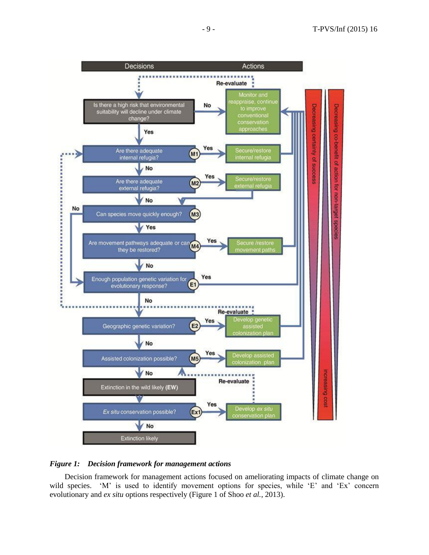

#### *Figure 1: Decision framework for management actions*

Decision framework for management actions focused on ameliorating impacts of climate change on wild species. 'M' is used to identify movement options for species, while 'E' and 'Ex' concern evolutionary and *ex situ* options respectively [\(Figure 1 of Shoo](#page-16-9) *et al.*, 2013).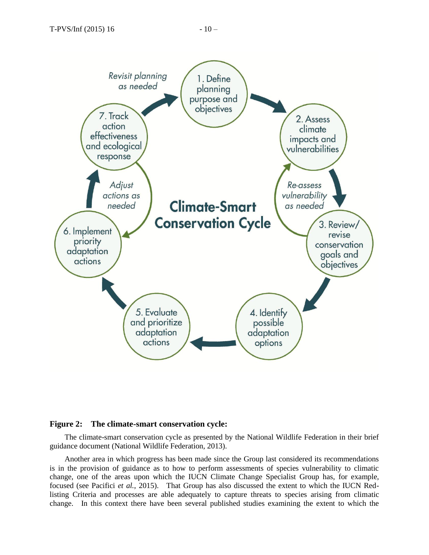

#### **Figure 2: The climate-smart conservation cycle:**

The climate-smart conservation cycle as presented by the National Wildlife Federation in their brief guidance document (National Wildlife Federation, 2013).

Another area in which progress has been made since the Group last considered its recommendations is in the provision of guidance as to how to perform assessments of species vulnerability to climatic change, one of the areas upon which the IUCN Climate Change Specialist Group has, for example, focused [\(see Pacifici](#page-15-13) *et al.*, 2015). That Group has also discussed the extent to which the IUCN Redlisting Criteria and processes are able adequately to capture threats to species arising from climatic change. In this context there have been several published studies examining the extent to which the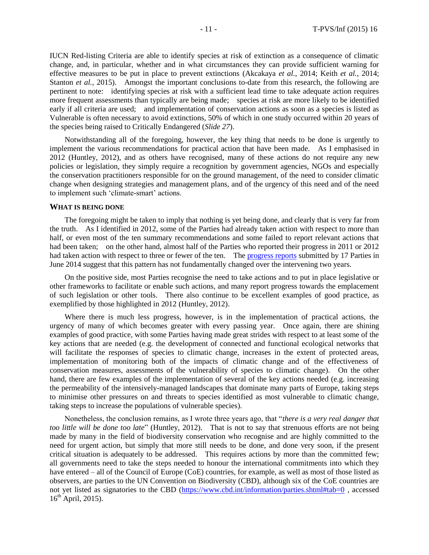IUCN Red-listing Criteria are able to identify species at risk of extinction as a consequence of climatic change, and, in particular, whether and in what circumstances they can provide sufficient warning for effective measures to be put in place to prevent extinctions [\(Akcakaya](#page-13-18) *et al.*, 2014; Keith *et al.*[, 2014;](#page-15-14) [Stanton](#page-16-10) *et al.*, 2015). Amongst the important conclusions to-date from this research, the following are pertinent to note: identifying species at risk with a sufficient lead time to take adequate action requires more frequent assessments than typically are being made; species at risk are more likely to be identified early if all criteria are used; and implementation of conservation actions as soon as a species is listed as Vulnerable is often necessary to avoid extinctions, 50% of which in one study occurred within 20 years of the species being raised to Critically Endangered (*Slide 27*).

Notwithstanding all of the foregoing, however, the key thing that needs to be done is urgently to implement the various recommendations for practical action that have been made. As I emphasised in 2012 [\(Huntley, 2012\)](#page-14-13), and as others have recognised, many of these actions do not require any new policies or legislation, they simply require a recognition by government agencies, NGOs and especially the conservation practitioners responsible for on the ground management, of the need to consider climatic change when designing strategies and management plans, and of the urgency of this need and of the need to implement such 'climate-smart' actions.

#### **WHAT IS BEING DONE**

The foregoing might be taken to imply that nothing is yet being done, and clearly that is very far from the truth. As I identified in 2012, some of the Parties had already taken action with respect to more than half, or even most of the ten summary recommendations and some failed to report relevant actions that had been taken; on the other hand, almost half of the Parties who reported their progress in 2011 or 2012 had taken action with respect to three or fewer of the ten. The [progress reports](https://wcd.coe.int/ViewDoc.jsp?id=2202233&Site=&BackColorInternet=B9BDEE&BackColorIntranet=FFCD4F&BackColorLogged=FFC679) submitted by 17 Parties in June 2014 suggest that this pattern has not fundamentally changed over the intervening two years.

On the positive side, most Parties recognise the need to take actions and to put in place legislative or other frameworks to facilitate or enable such actions, and many report progress towards the emplacement of such legislation or other tools. There also continue to be excellent examples of good practice, as exemplified by those highlighted in 2012 [\(Huntley, 2012\)](#page-14-13).

Where there is much less progress, however, is in the implementation of practical actions, the urgency of many of which becomes greater with every passing year. Once again, there are shining examples of good practice, with some Parties having made great strides with respect to at least some of the key actions that are needed (e.g. the development of connected and functional ecological networks that will facilitate the responses of species to climatic change, increases in the extent of protected areas, implementation of monitoring both of the impacts of climatic change and of the effectiveness of conservation measures, assessments of the vulnerability of species to climatic change). On the other hand, there are few examples of the implementation of several of the key actions needed (e.g. increasing the permeability of the intensively-managed landscapes that dominate many parts of Europe, taking steps to minimise other pressures on and threats to species identified as most vulnerable to climatic change, taking steps to increase the populations of vulnerable species).

Nonetheless, the conclusion remains, as I wrote three years ago, that "*there is a very real danger that too little will be done too late*" [\(Huntley, 2012\)](#page-14-13). That is not to say that strenuous efforts are not being made by many in the field of biodiversity conservation who recognise and are highly committed to the need for urgent action, but simply that more still needs to be done, and done very soon, if the present critical situation is adequately to be addressed. This requires actions by more than the committed few; all governments need to take the steps needed to honour the international commitments into which they have entered – all of the Council of Europe (CoE) countries, for example, as well as most of those listed as observers, are parties to the UN Convention on Biodiversity (CBD), although six of the CoE countries are not yet listed as signatories to the CBD [\(https://www.cbd.int/information/parties.shtml#tab=0](https://www.cbd.int/information/parties.shtml#tab=0), accessed  $16^{th}$  April, 2015).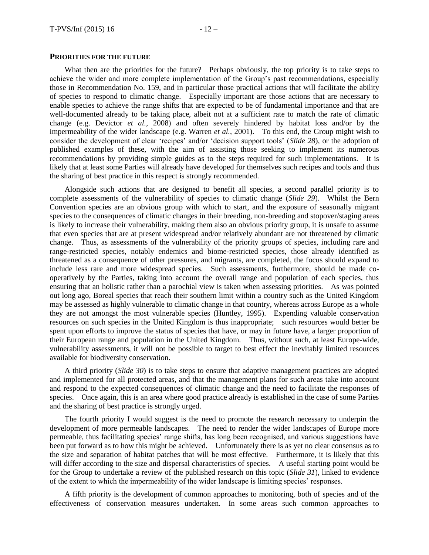#### **PRIORITIES FOR THE FUTURE**

What then are the priorities for the future? Perhaps obviously, the top priority is to take steps to achieve the wider and more complete implementation of the Group's past recommendations, especially those in Recommendation No. 159, and in particular those practical actions that will facilitate the ability of species to respond to climatic change. Especially important are those actions that are necessary to enable species to achieve the range shifts that are expected to be of fundamental importance and that are well-documented already to be taking place, albeit not at a sufficient rate to match the rate of climatic change [\(e.g. Devictor](#page-13-8) *et al.*, 2008) and often severely hindered by habitat loss and/or by the impermeability of the wider landscape [\(e.g. Warren](#page-16-11) *et al.*, 2001). To this end, the Group might wish to consider the development of clear 'recipes' and/or 'decision support tools' (*Slide 28*), or the adoption of published examples of these, with the aim of assisting those seeking to implement its numerous recommendations by providing simple guides as to the steps required for such implementations. It is likely that at least some Parties will already have developed for themselves such recipes and tools and thus the sharing of best practice in this respect is strongly recommended.

Alongside such actions that are designed to benefit all species, a second parallel priority is to complete assessments of the vulnerability of species to climatic change (*Slide 29*). Whilst the Bern Convention species are an obvious group with which to start, and the exposure of seasonally migrant species to the consequences of climatic changes in their breeding, non-breeding and stopover/staging areas is likely to increase their vulnerability, making them also an obvious priority group, it is unsafe to assume that even species that are at present widespread and/or relatively abundant are not threatened by climatic change. Thus, as assessments of the vulnerability of the priority groups of species, including rare and range-restricted species, notably endemics and biome-restricted species, those already identified as threatened as a consequence of other pressures, and migrants, are completed, the focus should expand to include less rare and more widespread species. Such assessments, furthermore, should be made cooperatively by the Parties, taking into account the overall range and population of each species, thus ensuring that an holistic rather than a parochial view is taken when assessing priorities. As was pointed out long ago, Boreal species that reach their southern limit within a country such as the United Kingdom may be assessed as highly vulnerable to climatic change in that country, whereas across Europe as a whole they are not amongst the most vulnerable species [\(Huntley, 1995\)](#page-14-14). Expending valuable conservation resources on such species in the United Kingdom is thus inappropriate; such resources would better be spent upon efforts to improve the status of species that have, or may in future have, a larger proportion of their European range and population in the United Kingdom. Thus, without such, at least Europe-wide, vulnerability assessments, it will not be possible to target to best effect the inevitably limited resources available for biodiversity conservation.

A third priority (*Slide 30*) is to take steps to ensure that adaptive management practices are adopted and implemented for all protected areas, and that the management plans for such areas take into account and respond to the expected consequences of climatic change and the need to facilitate the responses of species. Once again, this is an area where good practice already is established in the case of some Parties and the sharing of best practice is strongly urged.

The fourth priority I would suggest is the need to promote the research necessary to underpin the development of more permeable landscapes. The need to render the wider landscapes of Europe more permeable, thus facilitating species' range shifts, has long been recognised, and various suggestions have been put forward as to how this might be achieved. Unfortunately there is as yet no clear consensus as to the size and separation of habitat patches that will be most effective. Furthermore, it is likely that this will differ according to the size and dispersal characteristics of species. A useful starting point would be for the Group to undertake a review of the published research on this topic (*Slide 31*), linked to evidence of the extent to which the impermeability of the wider landscape is limiting species' responses.

A fifth priority is the development of common approaches to monitoring, both of species and of the effectiveness of conservation measures undertaken. In some areas such common approaches to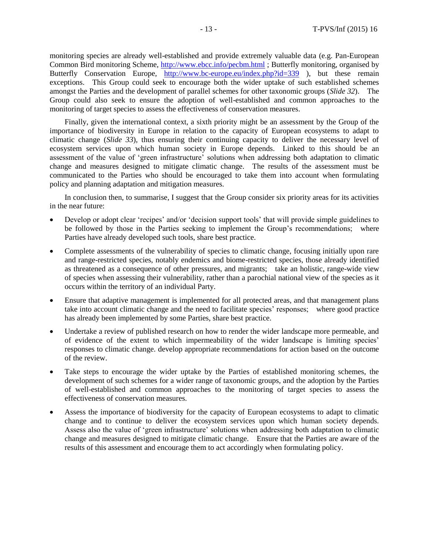monitoring species are already well-established and provide extremely valuable data (e.g. Pan-European Common Bird monitoring Scheme,<http://www.ebcc.info/pecbm.html> ; Butterfly monitoring, organised by Butterfly Conservation Europe, <http://www.bc-europe.eu/index.php?id=339> ), but these remain exceptions. This Group could seek to encourage both the wider uptake of such established schemes amongst the Parties and the development of parallel schemes for other taxonomic groups (*Slide 32*). The Group could also seek to ensure the adoption of well-established and common approaches to the monitoring of target species to assess the effectiveness of conservation measures.

Finally, given the international context, a sixth priority might be an assessment by the Group of the importance of biodiversity in Europe in relation to the capacity of European ecosystems to adapt to climatic change (*Slide 33*), thus ensuring their continuing capacity to deliver the necessary level of ecosystem services upon which human society in Europe depends. Linked to this should be an assessment of the value of 'green infrastructure' solutions when addressing both adaptation to climatic change and measures designed to mitigate climatic change. The results of the assessment must be communicated to the Parties who should be encouraged to take them into account when formulating policy and planning adaptation and mitigation measures.

In conclusion then, to summarise, I suggest that the Group consider six priority areas for its activities in the near future:

- Develop or adopt clear 'recipes' and/or 'decision support tools' that will provide simple guidelines to be followed by those in the Parties seeking to implement the Group's recommendations; where Parties have already developed such tools, share best practice.
- Complete assessments of the vulnerability of species to climatic change, focusing initially upon rare and range-restricted species, notably endemics and biome-restricted species, those already identified as threatened as a consequence of other pressures, and migrants; take an holistic, range-wide view of species when assessing their vulnerability, rather than a parochial national view of the species as it occurs within the territory of an individual Party.
- Ensure that adaptive management is implemented for all protected areas, and that management plans take into account climatic change and the need to facilitate species' responses; where good practice has already been implemented by some Parties, share best practice.
- Undertake a review of published research on how to render the wider landscape more permeable, and of evidence of the extent to which impermeability of the wider landscape is limiting species' responses to climatic change. develop appropriate recommendations for action based on the outcome of the review.
- Take steps to encourage the wider uptake by the Parties of established monitoring schemes, the development of such schemes for a wider range of taxonomic groups, and the adoption by the Parties of well-established and common approaches to the monitoring of target species to assess the effectiveness of conservation measures.
- Assess the importance of biodiversity for the capacity of European ecosystems to adapt to climatic change and to continue to deliver the ecosystem services upon which human society depends. Assess also the value of 'green infrastructure' solutions when addressing both adaptation to climatic change and measures designed to mitigate climatic change. Ensure that the Parties are aware of the results of this assessment and encourage them to act accordingly when formulating policy.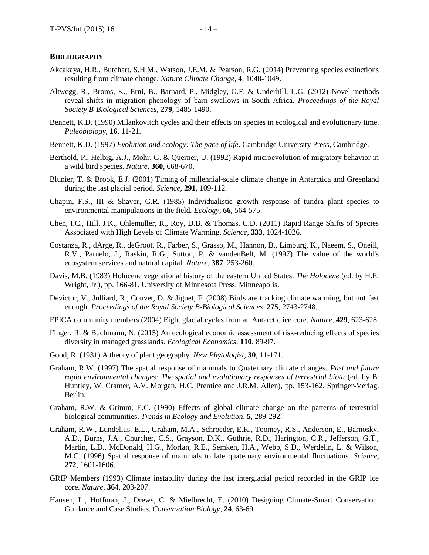- <span id="page-13-18"></span>Akcakaya, H.R., Butchart, S.H.M., Watson, J.E.M. & Pearson, R.G. (2014) Preventing species extinctions resulting from climate change. *Nature Climate Change*, **4**, 1048-1049.
- <span id="page-13-9"></span>Altwegg, R., Broms, K., Erni, B., Barnard, P., Midgley, G.F. & Underhill, L.G. (2012) Novel methods reveal shifts in migration phenology of barn swallows in South Africa. *Proceedings of the Royal Society B-Biological Sciences*, **279**, 1485-1490.
- <span id="page-13-4"></span>Bennett, K.D. (1990) Milankovitch cycles and their effects on species in ecological and evolutionary time. *Paleobiology*, **16**, 11-21.
- <span id="page-13-5"></span>Bennett, K.D. (1997) *Evolution and ecology: The pace of life*. Cambridge University Press, Cambridge.
- <span id="page-13-10"></span>Berthold, P., Helbig, A.J., Mohr, G. & Querner, U. (1992) Rapid microevolution of migratory behavior in a wild bird species. *Nature*, **360**, 668-670.
- <span id="page-13-3"></span>Blunier, T. & Brook, E.J. (2001) Timing of millennial-scale climate change in Antarctica and Greenland during the last glacial period. *Science*, **291**, 109-112.
- <span id="page-13-12"></span>Chapin, F.S., III & Shaver, G.R. (1985) Individualistic growth response of tundra plant species to environmental manipulations in the field. *Ecology*, **66**, 564-575.
- <span id="page-13-7"></span>Chen, I.C., Hill, J.K., Ohlemuller, R., Roy, D.B. & Thomas, C.D. (2011) Rapid Range Shifts of Species Associated with High Levels of Climate Warming. *Science*, **333**, 1024-1026.
- <span id="page-13-15"></span>Costanza, R., dArge, R., deGroot, R., Farber, S., Grasso, M., Hannon, B., Limburg, K., Naeem, S., Oneill, R.V., Paruelo, J., Raskin, R.G., Sutton, P. & vandenBelt, M. (1997) The value of the world's ecosystem services and natural capital. *Nature*, **387**, 253-260.
- <span id="page-13-11"></span>Davis, M.B. (1983) Holocene vegetational history of the eastern United States. *The Holocene* (ed. by H.E. Wright, Jr.), pp. 166-81. University of Minnesota Press, Minneapolis.
- <span id="page-13-8"></span>Devictor, V., Julliard, R., Couvet, D. & Jiguet, F. (2008) Birds are tracking climate warming, but not fast enough. *Proceedings of the Royal Society B-Biological Sciences*, **275**, 2743-2748.
- <span id="page-13-0"></span>EPICA community members (2004) Eight glacial cycles from an Antarctic ice core. *Nature*, **429**, 623-628.
- <span id="page-13-16"></span>Finger, R. & Buchmann, N. (2015) An ecological economic assessment of risk-reducing effects of species diversity in managed grasslands. *Ecological Economics*, **110**, 89-97.
- <span id="page-13-6"></span>Good, R. (1931) A theory of plant geography. *New Phytologist*, **30**, 11-171.
- <span id="page-13-14"></span>Graham, R.W. (1997) The spatial response of mammals to Quaternary climate changes. *Past and future rapid environmental changes: The spatial and evolutionary responses of terrestrial biota* (ed. by B. Huntley, W. Cramer, A.V. Morgan, H.C. Prentice and J.R.M. Allen), pp. 153-162. Springer-Verlag, Berlin.
- <span id="page-13-1"></span>Graham, R.W. & Grimm, E.C. (1990) Effects of global climate change on the patterns of terrestrial biological communities. *Trends in Ecology and Evolution*, **5**, 289-292.
- <span id="page-13-13"></span>Graham, R.W., Lundelius, E.L., Graham, M.A., Schroeder, E.K., Toomey, R.S., Anderson, E., Barnosky, A.D., Burns, J.A., Churcher, C.S., Grayson, D.K., Guthrie, R.D., Harington, C.R., Jefferson, G.T., Martin, L.D., McDonald, H.G., Morlan, R.E., Semken, H.A., Webb, S.D., Werdelin, L. & Wilson, M.C. (1996) Spatial response of mammals to late quaternary environmental fluctuations. *Science*, **272**, 1601-1606.
- <span id="page-13-2"></span>GRIP Members (1993) Climate instability during the last interglacial period recorded in the GRIP ice core. *Nature*, **364**, 203-207.
- <span id="page-13-17"></span>Hansen, L., Hoffman, J., Drews, C. & Mielbrecht, E. (2010) Designing Climate-Smart Conservation: Guidance and Case Studies. *Conservation Biology*, **24**, 63-69.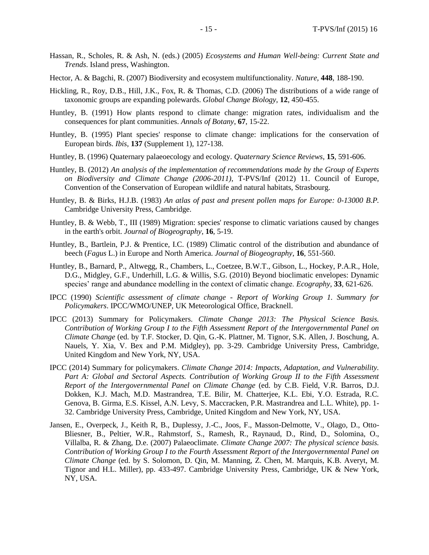- <span id="page-14-11"></span>Hassan, R., Scholes, R. & Ash, N. (eds.) (2005) *Ecosystems and Human Well-being: Current State and Trends*. Island press, Washington.
- <span id="page-14-12"></span>Hector, A. & Bagchi, R. (2007) Biodiversity and ecosystem multifunctionality. *Nature*, **448**, 188-190.
- <span id="page-14-6"></span>Hickling, R., Roy, D.B., Hill, J.K., Fox, R. & Thomas, C.D. (2006) The distributions of a wide range of taxonomic groups are expanding polewards. *Global Change Biology*, **12**, 450-455.
- <span id="page-14-2"></span>Huntley, B. (1991) How plants respond to climate change: migration rates, individualism and the consequences for plant communities. *Annals of Botany*, **67**, 15-22.
- <span id="page-14-14"></span>Huntley, B. (1995) Plant species' response to climate change: implications for the conservation of European birds. *Ibis*, **137** (Supplement 1), 127-138.
- <span id="page-14-10"></span>Huntley, B. (1996) Quaternary palaeoecology and ecology. *Quaternary Science Reviews*, **15**, 591-606.
- <span id="page-14-13"></span>Huntley, B. (2012) *An analysis of the implementation of recommendations made by the Group of Experts on Biodiversity and Climate Change (2006-2011)*, T-PVS/Inf (2012) 11. Council of Europe, Convention of the Conservation of European wildlife and natural habitats, Strasbourg.
- <span id="page-14-9"></span>Huntley, B. & Birks, H.J.B. (1983) *An atlas of past and present pollen maps for Europe: 0-13000 B.P.* Cambridge University Press, Cambridge.
- <span id="page-14-5"></span>Huntley, B. & Webb, T., III (1989) Migration: species' response to climatic variations caused by changes in the earth's orbit. *Journal of Biogeography*, **16**, 5-19.
- <span id="page-14-7"></span>Huntley, B., Bartlein, P.J. & Prentice, I.C. (1989) Climatic control of the distribution and abundance of beech (*Fagus* L.) in Europe and North America. *Journal of Biogeography*, **16**, 551-560.
- <span id="page-14-4"></span>Huntley, B., Barnard, P., Altwegg, R., Chambers, L., Coetzee, B.W.T., Gibson, L., Hockey, P.A.R., Hole, D.G., Midgley, G.F., Underhill, L.G. & Willis, S.G. (2010) Beyond bioclimatic envelopes: Dynamic species' range and abundance modelling in the context of climatic change. *Ecography*, **33**, 621-626.
- <span id="page-14-3"></span>IPCC (1990) *Scientific assessment of climate change - Report of Working Group 1. Summary for Policymakers*. IPCC/WMO/UNEP, UK Meteorological Office, Bracknell.
- <span id="page-14-0"></span>IPCC (2013) Summary for Policymakers. *Climate Change 2013: The Physical Science Basis. Contribution of Working Group I to the Fifth Assessment Report of the Intergovernmental Panel on Climate Change* (ed. by T.F. Stocker, D. Qin, G.-K. Plattner, M. Tignor, S.K. Allen, J. Boschung, A. Nauels, Y. Xia, V. Bex and P.M. Midgley), pp. 3-29. Cambridge University Press, Cambridge, United Kingdom and New York, NY, USA.
- <span id="page-14-8"></span>IPCC (2014) Summary for policymakers. *Climate Change 2014: Impacts, Adaptation, and Vulnerability.*  Part A: Global and Sectoral Aspects. Contribution of Working Group II to the Fifth Assessment *Report of the Intergovernmental Panel on Climate Change* (ed. by C.B. Field, V.R. Barros, D.J. Dokken, K.J. Mach, M.D. Mastrandrea, T.E. Bilir, M. Chatterjee, K.L. Ebi, Y.O. Estrada, R.C. Genova, B. Girma, E.S. Kissel, A.N. Levy, S. Maccracken, P.R. Mastrandrea and L.L. White), pp. 1- 32. Cambridge University Press, Cambridge, United Kingdom and New York, NY, USA.
- <span id="page-14-1"></span>Jansen, E., Overpeck, J., Keith R, B., Duplessy, J.-C., Joos, F., Masson-Delmotte, V., Olago, D., Otto-Bliesner, B., Peltier, W.R., Rahmstorf, S., Ramesh, R., Raynaud, D., Rind, D., Solomina, O., Villalba, R. & Zhang, D.e. (2007) Palaeoclimate. *Climate Change 2007: The physical science basis. Contribution of Working Group I to the Fourth Assessment Report of the Intergovernmental Panel on Climate Change* (ed. by S. Solomon, D. Qin, M. Manning, Z. Chen, M. Marquis, K.B. Averyt, M. Tignor and H.L. Miller), pp. 433-497. Cambridge University Press, Cambridge, UK & New York, NY, USA.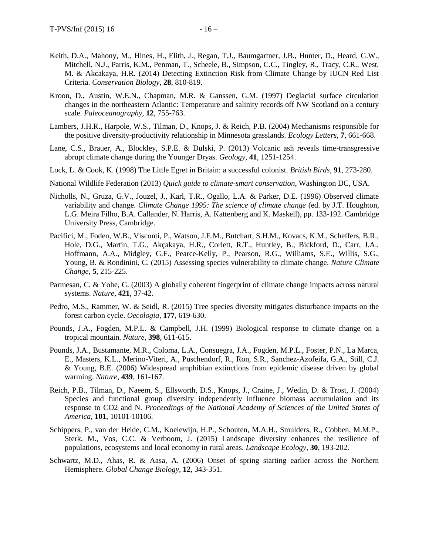- <span id="page-15-14"></span>Keith, D.A., Mahony, M., Hines, H., Elith, J., Regan, T.J., Baumgartner, J.B., Hunter, D., Heard, G.W., Mitchell, N.J., Parris, K.M., Penman, T., Scheele, B., Simpson, C.C., Tingley, R., Tracy, C.R., West, M. & Akcakaya, H.R. (2014) Detecting Extinction Risk from Climate Change by IUCN Red List Criteria. *Conservation Biology*, **28**, 810-819.
- <span id="page-15-2"></span>Kroon, D., Austin, W.E.N., Chapman, M.R. & Ganssen, G.M. (1997) Deglacial surface circulation changes in the northeastern Atlantic: Temperature and salinity records off NW Scotland on a century scale. *Paleoceanography*, **12**, 755-763.
- <span id="page-15-10"></span>Lambers, J.H.R., Harpole, W.S., Tilman, D., Knops, J. & Reich, P.B. (2004) Mechanisms responsible for the positive diversity-productivity relationship in Minnesota grasslands. *Ecology Letters*, **7**, 661-668.
- <span id="page-15-1"></span>Lane, C.S., Brauer, A., Blockley, S.P.E. & Dulski, P. (2013) Volcanic ash reveals time-transgressive abrupt climate change during the Younger Dryas. *Geology*, **41**, 1251-1254.
- <span id="page-15-5"></span>Lock, L. & Cook, K. (1998) The Little Egret in Britain: a successful colonist. *British Birds*, **91**, 273-280.
- <span id="page-15-12"></span>National Wildlife Federation (2013) *Quick guide to climate-smart conservation*, Washington DC, USA.
- <span id="page-15-0"></span>Nicholls, N., Gruza, G.V., Jouzel, J., Karl, T.R., Ogallo, L.A. & Parker, D.E. (1996) Observed climate variability and change. *Climate Change 1995: The science of climate change* (ed. by J.T. Houghton, L.G. Meira Filho, B.A. Callander, N. Harris, A. Kattenberg and K. Maskell), pp. 133-192. Cambridge University Press, Cambridge.
- <span id="page-15-13"></span>Pacifici, M., Foden, W.B., Visconti, P., Watson, J.E.M., Butchart, S.H.M., Kovacs, K.M., Scheffers, B.R., Hole, D.G., Martin, T.G., Akçakaya, H.R., Corlett, R.T., Huntley, B., Bickford, D., Carr, J.A., Hoffmann, A.A., Midgley, G.F., Pearce-Kelly, P., Pearson, R.G., Williams, S.E., Willis, S.G., Young, B. & Rondinini, C. (2015) Assessing species vulnerability to climate change. *Nature Climate Change*, **5**, 215-225.
- <span id="page-15-3"></span>Parmesan, C. & Yohe, G. (2003) A globally coherent fingerprint of climate change impacts across natural systems. *Nature*, **421**, 37-42.
- <span id="page-15-8"></span>Pedro, M.S., Rammer, W. & Seidl, R. (2015) Tree species diversity mitigates disturbance impacts on the forest carbon cycle. *Oecologia*, **177**, 619-630.
- <span id="page-15-6"></span>Pounds, J.A., Fogden, M.P.L. & Campbell, J.H. (1999) Biological response to climate change on a tropical mountain. *Nature*, **398**, 611-615.
- <span id="page-15-7"></span>Pounds, J.A., Bustamante, M.R., Coloma, L.A., Consuegra, J.A., Fogden, M.P.L., Foster, P.N., La Marca, E., Masters, K.L., Merino-Viteri, A., Puschendorf, R., Ron, S.R., Sanchez-Azofeifa, G.A., Still, C.J. & Young, B.E. (2006) Widespread amphibian extinctions from epidemic disease driven by global warming. *Nature*, **439**, 161-167.
- <span id="page-15-11"></span>Reich, P.B., Tilman, D., Naeem, S., Ellsworth, D.S., Knops, J., Craine, J., Wedin, D. & Trost, J. (2004) Species and functional group diversity independently influence biomass accumulation and its response to CO2 and N. *Proceedings of the National Academy of Sciences of the United States of America*, **101**, 10101-10106.
- <span id="page-15-9"></span>Schippers, P., van der Heide, C.M., Koelewijn, H.P., Schouten, M.A.H., Smulders, R., Cobben, M.M.P., Sterk, M., Vos, C.C. & Verboom, J. (2015) Landscape diversity enhances the resilience of populations, ecosystems and local economy in rural areas. *Landscape Ecology*, **30**, 193-202.
- <span id="page-15-4"></span>Schwartz, M.D., Ahas, R. & Aasa, A. (2006) Onset of spring starting earlier across the Northern Hemisphere. *Global Change Biology*, **12**, 343-351.